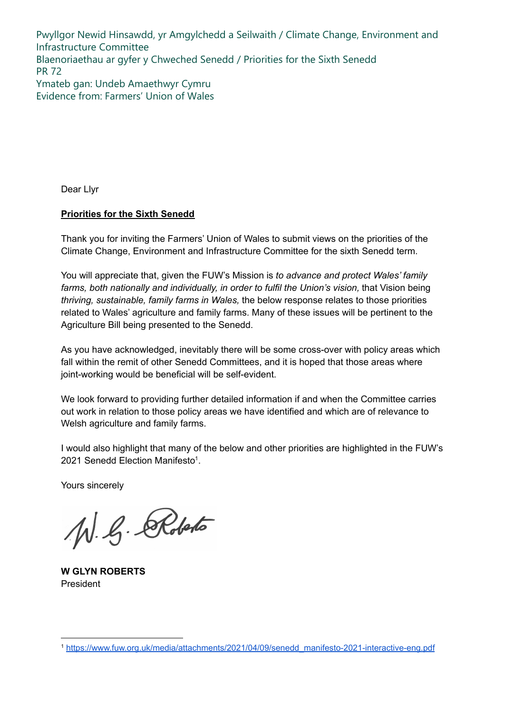Pwyllgor Newid Hinsawdd, yr Amgylchedd a Seilwaith / Climate Change, Environment and Infrastructure Committee Blaenoriaethau ar gyfer y Chweched Senedd / Priorities for the Sixth Senedd PR 72 Ymateb gan: Undeb Amaethwyr Cymru Evidence from: Farmers' Union of Wales

Dear Llyr

#### **Priorities for the Sixth Senedd**

Thank you for inviting the Farmers' Union of Wales to submit views on the priorities of the Climate Change, Environment and Infrastructure Committee for the sixth Senedd term.

You will appreciate that, given the FUW's Mission is *to advance and protect Wales' family farms, both nationally and individually, in order to fulfil the Union's vision,* that Vision being *thriving, sustainable, family farms in Wales,* the below response relates to those priorities related to Wales' agriculture and family farms. Many of these issues will be pertinent to the Agriculture Bill being presented to the Senedd.

As you have acknowledged, inevitably there will be some cross-over with policy areas which fall within the remit of other Senedd Committees, and it is hoped that those areas where joint-working would be beneficial will be self-evident.

We look forward to providing further detailed information if and when the Committee carries out work in relation to those policy areas we have identified and which are of relevance to Welsh agriculture and family farms.

I would also highlight that many of the below and other priorities are highlighted in the FUW's 2021 Senedd Election Manifesto<sup>1</sup>.

Yours sincerely

W. G. Roberto

**W GLYN ROBERTS** President

<sup>1</sup> [https://www.fuw.org.uk/media/attachments/2021/04/09/senedd\\_manifesto-2021-interactive-eng.pdf](https://www.fuw.org.uk/media/attachments/2021/04/09/senedd_manifesto-2021-interactive-eng.pdf)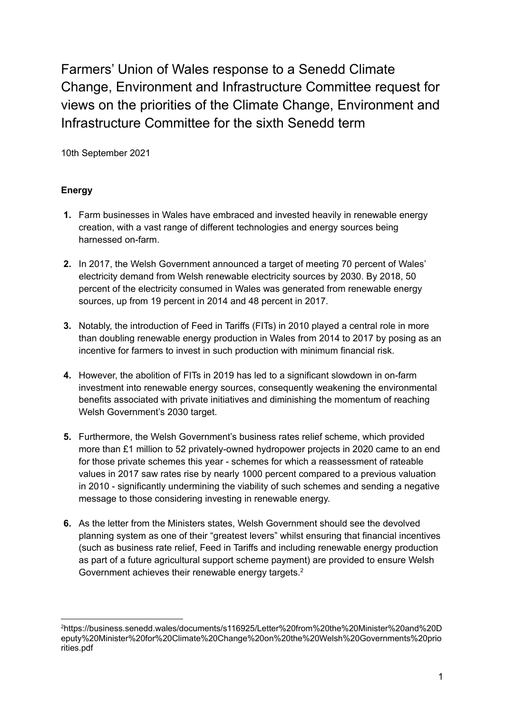Farmers' Union of Wales response to a Senedd Climate Change, Environment and Infrastructure Committee request for views on the priorities of the Climate Change, Environment and Infrastructure Committee for the sixth Senedd term

10th September 2021

# **Energy**

- **1.** Farm businesses in Wales have embraced and invested heavily in renewable energy creation, with a vast range of different technologies and energy sources being harnessed on-farm.
- **2.** In 2017, the Welsh Government announced a target of meeting 70 percent of Wales' electricity demand from Welsh renewable electricity sources by 2030. By 2018, 50 percent of the electricity consumed in Wales was generated from renewable energy sources, up from 19 percent in 2014 and 48 percent in 2017.
- **3.** Notably, the introduction of Feed in Tariffs (FITs) in 2010 played a central role in more than doubling renewable energy production in Wales from 2014 to 2017 by posing as an incentive for farmers to invest in such production with minimum financial risk.
- **4.** However, the abolition of FITs in 2019 has led to a significant slowdown in on-farm investment into renewable energy sources, consequently weakening the environmental benefits associated with private initiatives and diminishing the momentum of reaching Welsh Government's 2030 target.
- **5.** Furthermore, the Welsh Government's business rates relief scheme, which provided more than £1 million to 52 privately-owned hydropower projects in 2020 came to an end for those private schemes this year - schemes for which a reassessment of rateable values in 2017 saw rates rise by nearly 1000 percent compared to a previous valuation in 2010 - significantly undermining the viability of such schemes and sending a negative message to those considering investing in renewable energy.
- **6.** As the letter from the Ministers states, Welsh Government should see the devolved planning system as one of their "greatest levers" whilst ensuring that financial incentives (such as business rate relief, Feed in Tariffs and including renewable energy production as part of a future agricultural support scheme payment) are provided to ensure Welsh Government achieves their renewable energy targets.<sup>2</sup>

<sup>2</sup>https://business.senedd.wales/documents/s116925/Letter%20from%20the%20Minister%20and%20D eputy%20Minister%20for%20Climate%20Change%20on%20the%20Welsh%20Governments%20prio rities.pdf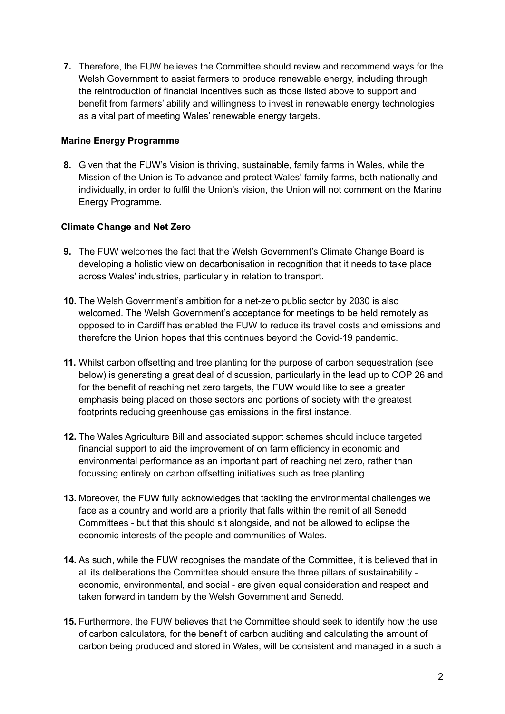**7.** Therefore, the FUW believes the Committee should review and recommend ways for the Welsh Government to assist farmers to produce renewable energy, including through the reintroduction of financial incentives such as those listed above to support and benefit from farmers' ability and willingness to invest in renewable energy technologies as a vital part of meeting Wales' renewable energy targets.

## **Marine Energy Programme**

**8.** Given that the FUW's Vision is thriving, sustainable, family farms in Wales, while the Mission of the Union is To advance and protect Wales' family farms, both nationally and individually, in order to fulfil the Union's vision, the Union will not comment on the Marine Energy Programme.

### **Climate Change and Net Zero**

- **9.** The FUW welcomes the fact that the Welsh Government's Climate Change Board is developing a holistic view on decarbonisation in recognition that it needs to take place across Wales' industries, particularly in relation to transport.
- **10.** The Welsh Government's ambition for a net-zero public sector by 2030 is also welcomed. The Welsh Government's acceptance for meetings to be held remotely as opposed to in Cardiff has enabled the FUW to reduce its travel costs and emissions and therefore the Union hopes that this continues beyond the Covid-19 pandemic.
- **11.** Whilst carbon offsetting and tree planting for the purpose of carbon sequestration (see below) is generating a great deal of discussion, particularly in the lead up to COP 26 and for the benefit of reaching net zero targets, the FUW would like to see a greater emphasis being placed on those sectors and portions of society with the greatest footprints reducing greenhouse gas emissions in the first instance.
- **12.** The Wales Agriculture Bill and associated support schemes should include targeted financial support to aid the improvement of on farm efficiency in economic and environmental performance as an important part of reaching net zero, rather than focussing entirely on carbon offsetting initiatives such as tree planting.
- **13.** Moreover, the FUW fully acknowledges that tackling the environmental challenges we face as a country and world are a priority that falls within the remit of all Senedd Committees - but that this should sit alongside, and not be allowed to eclipse the economic interests of the people and communities of Wales.
- **14.** As such, while the FUW recognises the mandate of the Committee, it is believed that in all its deliberations the Committee should ensure the three pillars of sustainability economic, environmental, and social - are given equal consideration and respect and taken forward in tandem by the Welsh Government and Senedd.
- **15.** Furthermore, the FUW believes that the Committee should seek to identify how the use of carbon calculators, for the benefit of carbon auditing and calculating the amount of carbon being produced and stored in Wales, will be consistent and managed in a such a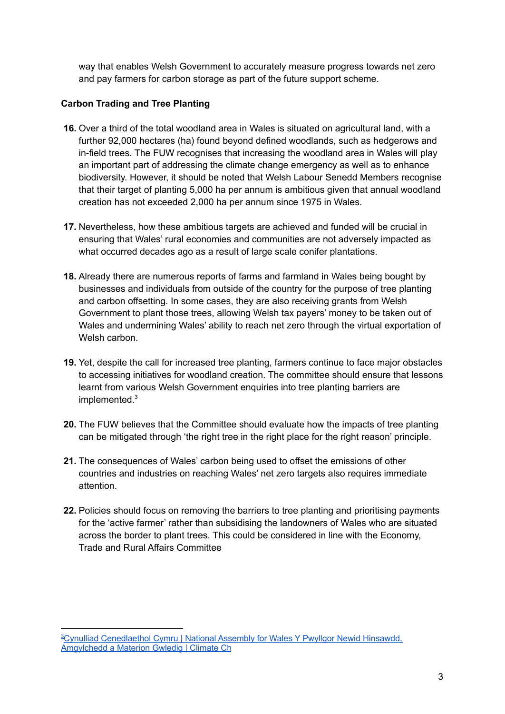way that enables Welsh Government to accurately measure progress towards net zero and pay farmers for carbon storage as part of the future support scheme.

# **Carbon Trading and Tree Planting**

- **16.** Over a third of the total woodland area in Wales is situated on agricultural land, with a further 92,000 hectares (ha) found beyond defined woodlands, such as hedgerows and in-field trees. The FUW recognises that increasing the woodland area in Wales will play an important part of addressing the climate change emergency as well as to enhance biodiversity. However, it should be noted that Welsh Labour Senedd Members recognise that their target of planting 5,000 ha per annum is ambitious given that annual woodland creation has not exceeded 2,000 ha per annum since 1975 in Wales.
- **17.** Nevertheless, how these ambitious targets are achieved and funded will be crucial in ensuring that Wales' rural economies and communities are not adversely impacted as what occurred decades ago as a result of large scale conifer plantations.
- **18.** Already there are numerous reports of farms and farmland in Wales being bought by businesses and individuals from outside of the country for the purpose of tree planting and carbon offsetting. In some cases, they are also receiving grants from Welsh Government to plant those trees, allowing Welsh tax payers' money to be taken out of Wales and undermining Wales' ability to reach net zero through the virtual exportation of Welsh carbon.
- **19.** Yet, despite the call for increased tree planting, farmers continue to face major obstacles to accessing initiatives for woodland creation. The committee should ensure that lessons learnt from various Welsh Government enquiries into tree planting barriers are implemented. 3
- **20.** The FUW believes that the Committee should evaluate how the impacts of tree planting can be mitigated through 'the right tree in the right place for the right reason' principle.
- **21.** The consequences of Wales' carbon being used to offset the emissions of other countries and industries on reaching Wales' net zero targets also requires immediate attention.
- **22.** Policies should focus on removing the barriers to tree planting and prioritising payments for the 'active farmer' rather than subsidising the landowners of Wales who are situated across the border to plant trees. This could be considered in line with the Economy, Trade and Rural Affairs Committee

<sup>&</sup>lt;sup>3</sup>Cynulliad [Cenedlaethol](https://business.senedd.wales/documents/s61971/FWP%2035%20Farmers%20Union%20of%20Wales.pdf) Cymru | National Assembly for Wales Y Pwyllgor Newid Hinsawdd, [Amgylchedd](https://business.senedd.wales/documents/s61971/FWP%2035%20Farmers%20Union%20of%20Wales.pdf) a Materion Gwledig | Climate Ch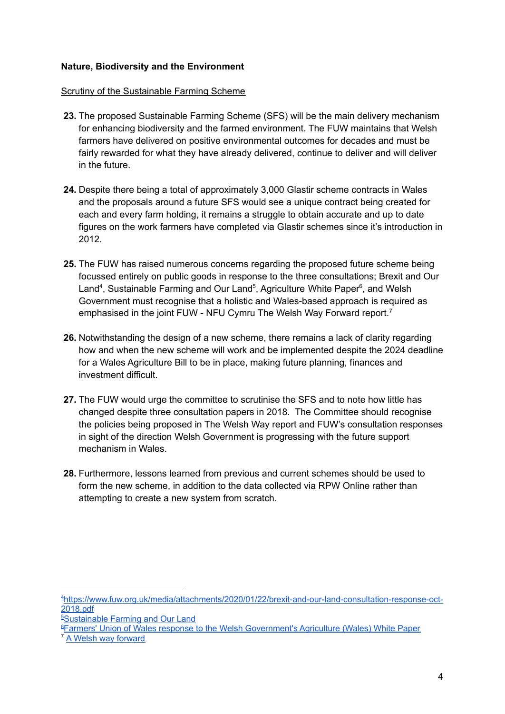### **Nature, Biodiversity and the Environment**

#### Scrutiny of the Sustainable Farming Scheme

- **23.** The proposed Sustainable Farming Scheme (SFS) will be the main delivery mechanism for enhancing biodiversity and the farmed environment. The FUW maintains that Welsh farmers have delivered on positive environmental outcomes for decades and must be fairly rewarded for what they have already delivered, continue to deliver and will deliver in the future.
- **24.** Despite there being a total of approximately 3,000 Glastir scheme contracts in Wales and the proposals around a future SFS would see a unique contract being created for each and every farm holding, it remains a struggle to obtain accurate and up to date figures on the work farmers have completed via Glastir schemes since it's introduction in 2012.
- **25.** The FUW has raised numerous concerns regarding the proposed future scheme being focussed entirely on public goods in response to the three consultations; Brexit and Our Land<sup>4</sup>, Sustainable Farming and Our Land<sup>5</sup>, Agriculture White Paper<sup>6</sup>, and Welsh Government must recognise that a holistic and Wales-based approach is required as emphasised in the joint FUW - NFU Cymru The Welsh Way Forward report.<sup>7</sup>
- **26.** Notwithstanding the design of a new scheme, there remains a lack of clarity regarding how and when the new scheme will work and be implemented despite the 2024 deadline for a Wales Agriculture Bill to be in place, making future planning, finances and investment difficult.
- **27.** The FUW would urge the committee to scrutinise the SFS and to note how little has changed despite three consultation papers in 2018. The Committee should recognise the policies being proposed in The Welsh Way report and FUW's consultation responses in sight of the direction Welsh Government is progressing with the future support mechanism in Wales.
- **28.** Furthermore, lessons learned from previous and current schemes should be used to form the new scheme, in addition to the data collected via RPW Online rather than attempting to create a new system from scratch.

<sup>7</sup> A Welsh way [forward](https://www.fuw.org.uk/images/pdf/NFU-FUW_leaflet-English.pdf) <sup>6</sup>Farmers' Union of Wales response to the Welsh [Government's](https://www.fuw.org.uk/media/attachments/2021/04/20/agricultural-whitepaper-response-march-2021-full.pdf) Agriculture (Wales) White Paper

<sup>4</sup>[https://www.fuw.org.uk/media/attachments/2020/01/22/brexit-and-our-land-consultation-response-oct-](https://www.fuw.org.uk/media/attachments/2020/01/22/brexit-and-our-land-consultation-response-oct-2018.pdf)[2018.pdf](https://www.fuw.org.uk/media/attachments/2020/01/22/brexit-and-our-land-consultation-response-oct-2018.pdf)

<sup>&</sup>lt;sup>5</sup>[Sustainable](https://fuw.org.uk/images/pdf_header_images/policy_pdfs/SFOL_Consultation_Response_FINAL_301019.pdf) Farming and Our Land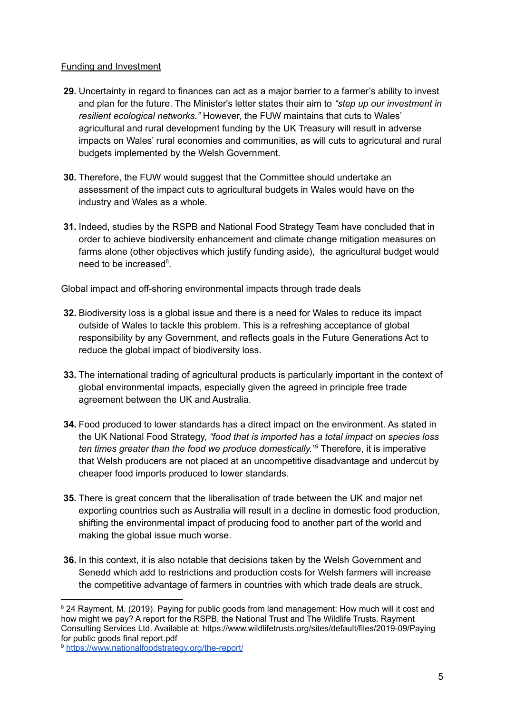## Funding and Investment

- **29.** Uncertainty in regard to finances can act as a major barrier to a farmer's ability to invest and plan for the future. The Minister's letter states their aim to *"step up our investment in resilient ecological networks."* However, the FUW maintains that cuts to Wales' agricultural and rural development funding by the UK Treasury will result in adverse impacts on Wales' rural economies and communities, as will cuts to agricutural and rural budgets implemented by the Welsh Government.
- **30.** Therefore, the FUW would suggest that the Committee should undertake an assessment of the impact cuts to agricultural budgets in Wales would have on the industry and Wales as a whole.
- **31.** Indeed, studies by the RSPB and National Food Strategy Team have concluded that in order to achieve biodiversity enhancement and climate change mitigation measures on farms alone (other objectives which justify funding aside), the agricultural budget would need to be increased<sup>8</sup>.

# Global impact and off-shoring environmental impacts through trade deals

- **32.** Biodiversity loss is a global issue and there is a need for Wales to reduce its impact outside of Wales to tackle this problem. This is a refreshing acceptance of global responsibility by any Government, and reflects goals in the Future Generations Act to reduce the global impact of biodiversity loss.
- **33.** The international trading of agricultural products is particularly important in the context of global environmental impacts, especially given the agreed in principle free trade agreement between the UK and Australia.
- **34.** Food produced to lower standards has a direct impact on the environment. As stated in the UK National Food Strategy, *"food that is imported has a total impact on species loss ten times greater than the food we produce domestically." <sup>9</sup>* Therefore, it is imperative that Welsh producers are not placed at an uncompetitive disadvantage and undercut by cheaper food imports produced to lower standards.
- **35.** There is great concern that the liberalisation of trade between the UK and major net exporting countries such as Australia will result in a decline in domestic food production, shifting the environmental impact of producing food to another part of the world and making the global issue much worse.
- **36.** In this context, it is also notable that decisions taken by the Welsh Government and Senedd which add to restrictions and production costs for Welsh farmers will increase the competitive advantage of farmers in countries with which trade deals are struck,

<sup>&</sup>lt;sup>8</sup> 24 Rayment, M. (2019). Paying for public goods from land management: How much will it cost and how might we pay? A report for the RSPB, the National Trust and The Wildlife Trusts. Rayment Consulting Services Ltd. Available at: https://www.wildlifetrusts.org/sites/default/files/2019-09/Paying for public goods final report.pdf

<sup>9</sup> <https://www.nationalfoodstrategy.org/the-report/>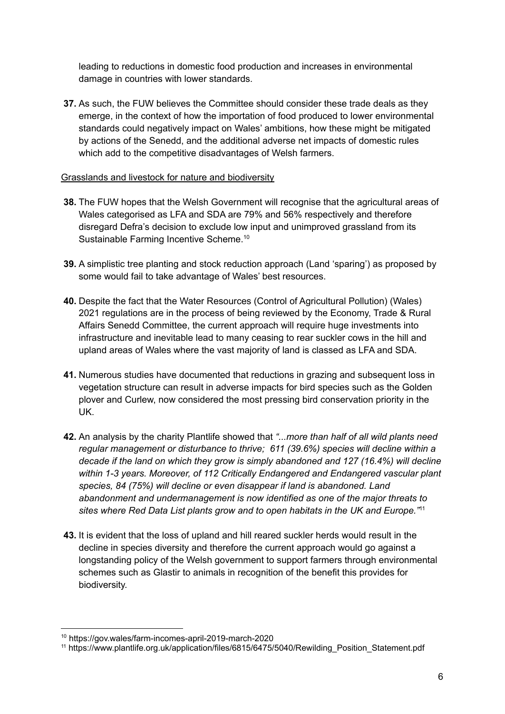leading to reductions in domestic food production and increases in environmental damage in countries with lower standards.

**37.** As such, the FUW believes the Committee should consider these trade deals as they emerge, in the context of how the importation of food produced to lower environmental standards could negatively impact on Wales' ambitions, how these might be mitigated by actions of the Senedd, and the additional adverse net impacts of domestic rules which add to the competitive disadvantages of Welsh farmers.

### Grasslands and livestock for nature and biodiversity

- **38.** The FUW hopes that the Welsh Government will recognise that the agricultural areas of Wales categorised as LFA and SDA are 79% and 56% respectively and therefore disregard Defra's decision to exclude low input and unimproved grassland from its Sustainable Farming Incentive Scheme.<sup>10</sup>
- **39.** A simplistic tree planting and stock reduction approach (Land 'sparing') as proposed by some would fail to take advantage of Wales' best resources.
- **40.** Despite the fact that the Water Resources (Control of Agricultural Pollution) (Wales) 2021 regulations are in the process of being reviewed by the Economy, Trade & Rural Affairs Senedd Committee, the current approach will require huge investments into infrastructure and inevitable lead to many ceasing to rear suckler cows in the hill and upland areas of Wales where the vast majority of land is classed as LFA and SDA.
- **41.** Numerous studies have documented that reductions in grazing and subsequent loss in vegetation structure can result in adverse impacts for bird species such as the Golden plover and Curlew, now considered the most pressing bird conservation priority in the UK.
- **42.** An analysis by the charity Plantlife showed that *"...more than half of all wild plants need regular management or disturbance to thrive; 611 (39.6%) species will decline within a decade if the land on which they grow is simply abandoned and 127 (16.4%) will decline within 1-3 years. Moreover, of 112 Critically Endangered and Endangered vascular plant species, 84 (75%) will decline or even disappear if land is abandoned. Land abandonment and undermanagement is now identified as one of the major threats to sites where Red Data List plants grow and to open habitats in the UK and Europe."* 11
- **43.** It is evident that the loss of upland and hill reared suckler herds would result in the decline in species diversity and therefore the current approach would go against a longstanding policy of the Welsh government to support farmers through environmental schemes such as Glastir to animals in recognition of the benefit this provides for biodiversity.

<sup>10</sup> https://gov.wales/farm-incomes-april-2019-march-2020

<sup>11</sup> https://www.plantlife.org.uk/application/files/6815/6475/5040/Rewilding\_Position\_Statement.pdf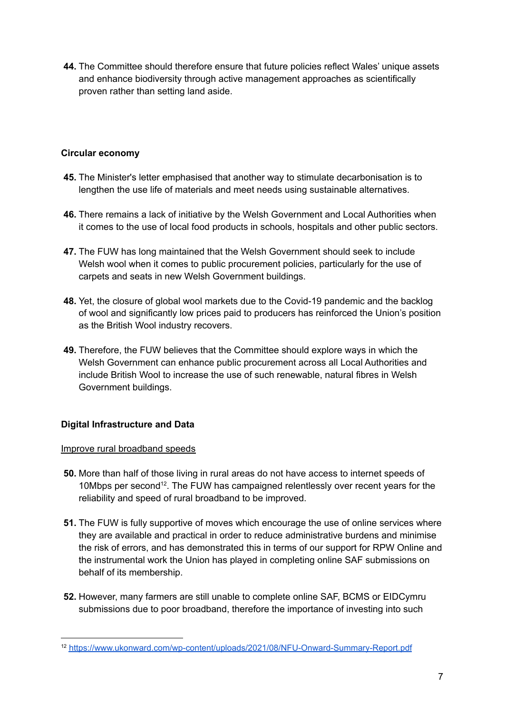**44.** The Committee should therefore ensure that future policies reflect Wales' unique assets and enhance biodiversity through active management approaches as scientifically proven rather than setting land aside.

# **Circular economy**

- **45.** The Minister's letter emphasised that another way to stimulate decarbonisation is to lengthen the use life of materials and meet needs using sustainable alternatives.
- **46.** There remains a lack of initiative by the Welsh Government and Local Authorities when it comes to the use of local food products in schools, hospitals and other public sectors.
- **47.** The FUW has long maintained that the Welsh Government should seek to include Welsh wool when it comes to public procurement policies, particularly for the use of carpets and seats in new Welsh Government buildings.
- **48.** Yet, the closure of global wool markets due to the Covid-19 pandemic and the backlog of wool and significantly low prices paid to producers has reinforced the Union's position as the British Wool industry recovers.
- **49.** Therefore, the FUW believes that the Committee should explore ways in which the Welsh Government can enhance public procurement across all Local Authorities and include British Wool to increase the use of such renewable, natural fibres in Welsh Government buildings.

# **Digital Infrastructure and Data**

# Improve rural broadband speeds

- **50.** More than half of those living in rural areas do not have access to internet speeds of 10Mbps per second<sup>12</sup>. The FUW has campaigned relentlessly over recent years for the reliability and speed of rural broadband to be improved.
- **51.** The FUW is fully supportive of moves which encourage the use of online services where they are available and practical in order to reduce administrative burdens and minimise the risk of errors, and has demonstrated this in terms of our support for RPW Online and the instrumental work the Union has played in completing online SAF submissions on behalf of its membership.
- **52.** However, many farmers are still unable to complete online SAF, BCMS or EIDCymru submissions due to poor broadband, therefore the importance of investing into such

<sup>12</sup> <https://www.ukonward.com/wp-content/uploads/2021/08/NFU-Onward-Summary-Report.pdf>